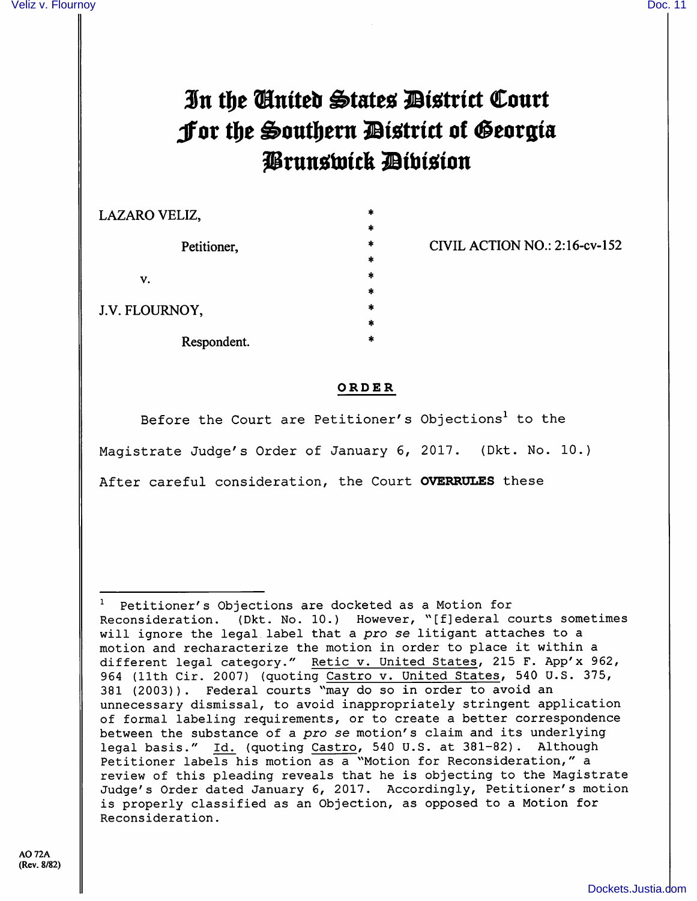## In the Cinited States District Court Jor the Southern District of Georgia Prunswick Dibision

LAZARO VELIZ,

Petitioner,

V.

J.V. FLOURNOY,

Respondent.

CIVIL ACTION NO.: 2:16-cv-152

- 
- 
- 
- 

## ORDER

Before the Court are Petitioner's Objections<sup>1</sup> to the Magistrate Judge's Order of January 6, 2017. (Dkt. No. 10.) After careful consideration, the Court OVERRULES these

 $1$  Petitioner's Objections are docketed as a Motion for Reconsideration. (Dkt. No. 10.) However, "[fjederal courts sometimes will ignore the legal label that a pro se litigant attaches to a motion and recharacterize the motion in order to place it within a different legal category." Retic v. United States, 215 F. App'x 962, 964 (11th Cir. 2007) (quoting Castro v. United States, 540 U.S. 375, 381 (2003)). Federal courts "may do so in order to avoid an unnecessary dismissal, to avoid inappropriately stringent application of formal labeling requirements, or to create a better correspondence between the substance of a pro se motion's claim and its underlying legal basis." Id. (quoting Castro, 540 U.S. at 381-82). Although Petitioner labels his motion as a "Motion for Reconsideration," a review of this pleading reveals that he is objecting to the Magistrate Judge's Order dated January 6, 2017. Accordingly, Petitioner's motion is properly classified as an Objection, as opposed to a Motion for Reconsideration.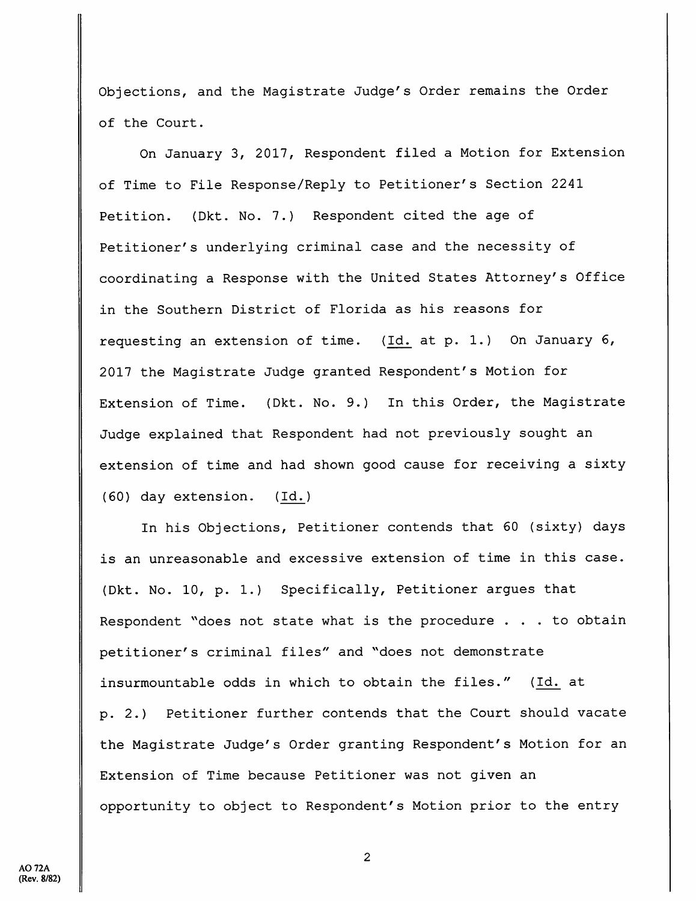Objections, and the Magistrate Judge's Order remains the Order of the Court.

On January 3, 2017, Respondent filed a Motion for Extension of Time to File Response/Reply to Petitioner's Section 2241 Petition. {Dkt. No. 7.) Respondent cited the age of Petitioner's underlying criminal case and the necessity of coordinating a Response with the United States Attorney's Office in the Southern District of Florida as his reasons for requesting an extension of time. (Id. at p. 1.) On January 6, 2017 the Magistrate Judge granted Respondent's Motion for Extension of Time. (Dkt. No. 9.) In this Order, the Magistrate Judge explained that Respondent had not previously sought an extension of time and had shown good cause for receiving a sixty (60) day extension. (Id.)

In his Objections, Petitioner contends that 60 (sixty) days is an unreasonable and excessive extension of time in this case. (Dkt. No. 10, p. 1.) Specifically, Petitioner argues that Respondent ''does not state what is the procedure . . . to obtain petitioner's criminal files" and "does not demonstrate insurmountable odds in which to obtain the files." (Id. at p. 2.) Petitioner further contends that the Court should vacate the Magistrate Judge's Order granting Respondent's Motion for an Extension of Time because Petitioner was not given an opportunity to object to Respondent's Motion prior to the entry

 $\overline{2}$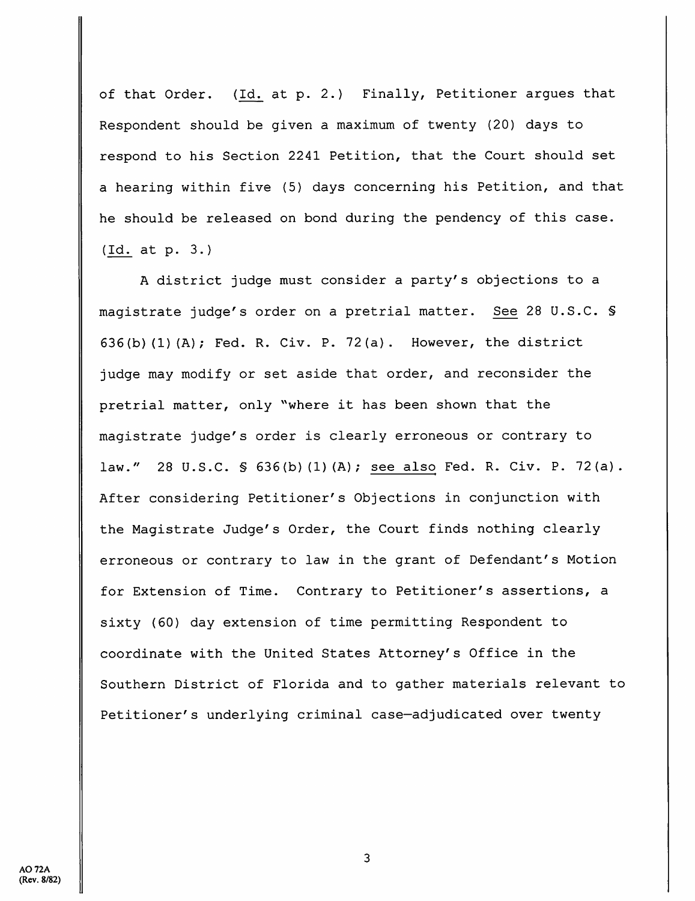of that Order. (Id. at p. 2.) Finally, Petitioner argues that Respondent should be given a maximum of twenty (20) days to respond to his Section 2241 Petition, that the Court should set a hearing within five (5) days concerning his Petition, and that he should be released on bond during the pendency of this case. (Id. at p. 3.)

A district judge must consider a party's objections to a magistrate judge's order on a pretrial matter. See 28 U.S.C. § 636(b)(1)(A); Fed. R. Civ. P. 72(a). However, the district judge may modify or set aside that order, and reconsider the pretrial matter, only ''where it has been shown that the magistrate judge's order is clearly erroneous or contrary to law." 28 U.S.C. § 636(b)(1)(A); see also Fed. R. Civ. P. 72(a). After considering Petitioner's Objections in conjunction with the Magistrate Judge's Order, the Court finds nothing clearly erroneous or contrary to law in the grant of Defendant's Motion for Extension of Time. Contrary to Petitioner's assertions, a sixty (60) day extension of time permitting Respondent to coordinate with the United States Attorney's Office in the Southern District of Florida and to gather materials relevant to Petitioner's underlying criminal case—adjudicated over twenty

3